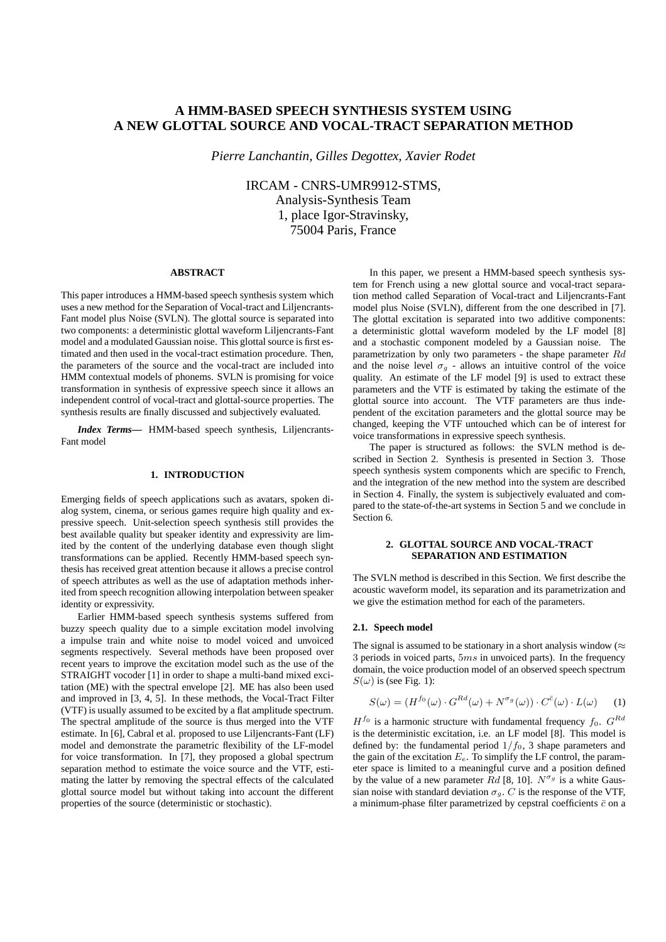# **A HMM-BASED SPEECH SYNTHESIS SYSTEM USING A NEW GLOTTAL SOURCE AND VOCAL-TRACT SEPARATION METHOD**

*Pierre Lanchantin, Gilles Degottex, Xavier Rodet*

IRCAM - CNRS-UMR9912-STMS, Analysis-Synthesis Team 1, place Igor-Stravinsky, 75004 Paris, France

### **ABSTRACT**

This paper introduces a HMM-based speech synthesis system which uses a new method for the Separation of Vocal-tract and Liljencrants-Fant model plus Noise (SVLN). The glottal source is separated into two components: a deterministic glottal waveform Liljencrants-Fant model and a modulated Gaussian noise. This glottal source is first estimated and then used in the vocal-tract estimation procedure. Then, the parameters of the source and the vocal-tract are included into HMM contextual models of phonems. SVLN is promising for voice transformation in synthesis of expressive speech since it allows an independent control of vocal-tract and glottal-source properties. The synthesis results are finally discussed and subjectively evaluated.

*Index Terms***—** HMM-based speech synthesis, Liljencrants-Fant model

# **1. INTRODUCTION**

Emerging fields of speech applications such as avatars, spoken dialog system, cinema, or serious games require high quality and expressive speech. Unit-selection speech synthesis still provides the best available quality but speaker identity and expressivity are limited by the content of the underlying database even though slight transformations can be applied. Recently HMM-based speech synthesis has received great attention because it allows a precise control of speech attributes as well as the use of adaptation methods inherited from speech recognition allowing interpolation between speaker identity or expressivity.

Earlier HMM-based speech synthesis systems suffered from buzzy speech quality due to a simple excitation model involving a impulse train and white noise to model voiced and unvoiced segments respectively. Several methods have been proposed over recent years to improve the excitation model such as the use of the STRAIGHT vocoder [1] in order to shape a multi-band mixed excitation (ME) with the spectral envelope [2]. ME has also been used and improved in [3, 4, 5]. In these methods, the Vocal-Tract Filter (VTF) is usually assumed to be excited by a flat amplitude spectrum. The spectral amplitude of the source is thus merged into the VTF estimate. In [6], Cabral et al. proposed to use Liljencrants-Fant (LF) model and demonstrate the parametric flexibility of the LF-model for voice transformation. In [7], they proposed a global spectrum separation method to estimate the voice source and the VTF, estimating the latter by removing the spectral effects of the calculated glottal source model but without taking into account the different properties of the source (deterministic or stochastic).

In this paper, we present a HMM-based speech synthesis system for French using a new glottal source and vocal-tract separation method called Separation of Vocal-tract and Liljencrants-Fant model plus Noise (SVLN), different from the one described in [7]. The glottal excitation is separated into two additive components: a deterministic glottal waveform modeled by the LF model [8] and a stochastic component modeled by a Gaussian noise. The parametrization by only two parameters - the shape parameter  $Rd$ and the noise level  $\sigma_g$  - allows an intuitive control of the voice quality. An estimate of the LF model [9] is used to extract these parameters and the VTF is estimated by taking the estimate of the glottal source into account. The VTF parameters are thus independent of the excitation parameters and the glottal source may be changed, keeping the VTF untouched which can be of interest for voice transformations in expressive speech synthesis.

The paper is structured as follows: the SVLN method is described in Section 2. Synthesis is presented in Section 3. Those speech synthesis system components which are specific to French, and the integration of the new method into the system are described in Section 4. Finally, the system is subjectively evaluated and compared to the state-of-the-art systems in Section 5 and we conclude in Section 6.

# **2. GLOTTAL SOURCE AND VOCAL-TRACT SEPARATION AND ESTIMATION**

The SVLN method is described in this Section. We first describe the acoustic waveform model, its separation and its parametrization and we give the estimation method for each of the parameters.

#### **2.1. Speech model**

The signal is assumed to be stationary in a short analysis window ( $\approx$ 3 periods in voiced parts,  $5ms$  in unvoiced parts). In the frequency domain, the voice production model of an observed speech spectrum  $S(\omega)$  is (see Fig. 1):

$$
S(\omega) = (H^{f_0}(\omega) \cdot G^{Rd}(\omega) + N^{\sigma_g}(\omega)) \cdot C^{\bar{c}}(\omega) \cdot L(\omega) \tag{1}
$$

 $H<sup>f<sub>0</sub></sup>$  is a harmonic structure with fundamental frequency  $f<sub>0</sub>$ .  $G<sup>Rd</sup>$ is the deterministic excitation, i.e. an LF model [8]. This model is defined by: the fundamental period  $1/f_0$ , 3 shape parameters and the gain of the excitation  $E_e$ . To simplify the LF control, the parameter space is limited to a meaningful curve and a position defined by the value of a new parameter  $Rd$  [8, 10].  $N^{\sigma_g}$  is a white Gaussian noise with standard deviation  $\sigma_q$ . C is the response of the VTF, a minimum-phase filter parametrized by cepstral coefficients  $\bar{c}$  on a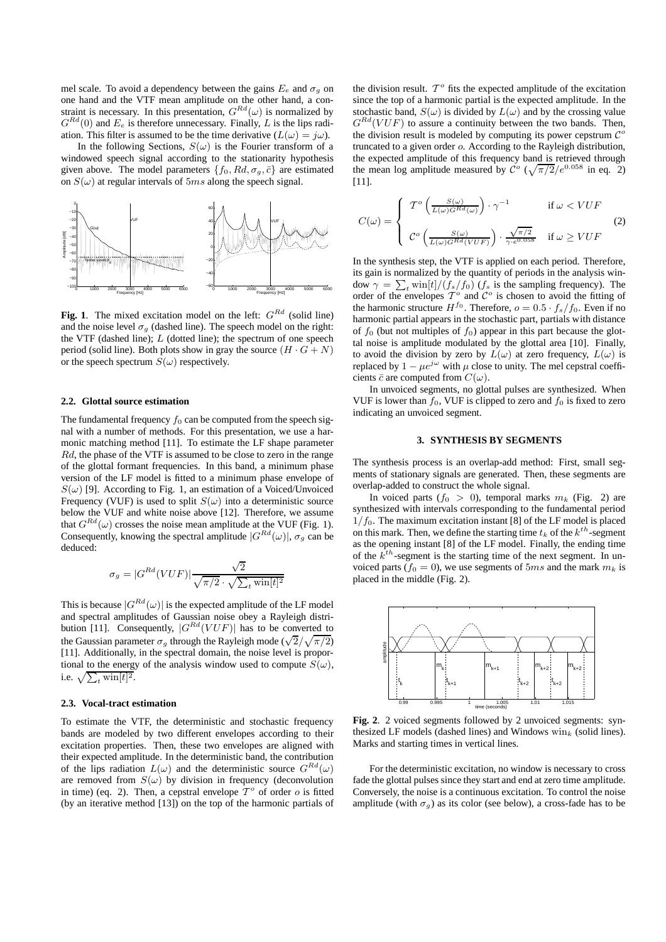mel scale. To avoid a dependency between the gains  $E_e$  and  $\sigma_g$  on one hand and the VTF mean amplitude on the other hand, a constraint is necessary. In this presentation,  $G^{Rd}(\omega)$  is normalized by  $G^{Rd}(0)$  and  $E_e$  is therefore unnecessary. Finally, L is the lips radiation. This filter is assumed to be the time derivative  $(L(\omega) = i\omega)$ .

In the following Sections,  $S(\omega)$  is the Fourier transform of a windowed speech signal according to the stationarity hypothesis given above. The model parameters  $\{f_0, Rd, \sigma_g, \bar{c}\}\$ are estimated on  $S(\omega)$  at regular intervals of 5ms along the speech signal.



**Fig. 1**. The mixed excitation model on the left:  $G^{Rd}$  (solid line) and the noise level  $\sigma_a$  (dashed line). The speech model on the right: the VTF (dashed line);  $L$  (dotted line); the spectrum of one speech period (solid line). Both plots show in gray the source  $(H \cdot G + N)$ or the speech spectrum  $S(\omega)$  respectively.

### **2.2. Glottal source estimation**

The fundamental frequency  $f_0$  can be computed from the speech signal with a number of methods. For this presentation, we use a harmonic matching method [11]. To estimate the LF shape parameter Rd, the phase of the VTF is assumed to be close to zero in the range of the glottal formant frequencies. In this band, a minimum phase version of the LF model is fitted to a minimum phase envelope of  $S(\omega)$  [9]. According to Fig. 1, an estimation of a Voiced/Unvoiced Frequency (VUF) is used to split  $S(\omega)$  into a deterministic source below the VUF and white noise above [12]. Therefore, we assume that  $G^{Rd}(\omega)$  crosses the noise mean amplitude at the VUF (Fig. 1). Consequently, knowing the spectral amplitude  $|G^{Rd}(\omega)|$ ,  $\sigma_g$  can be deduced:

$$
\sigma_g = |G^{Rd}(VUF)| \frac{\sqrt{2}}{\sqrt{\pi/2} \cdot \sqrt{\sum_t \text{win}[t]^2}}
$$

This is because  $|G^{Rd}(\omega)|$  is the expected amplitude of the LF model and spectral amplitudes of Gaussian noise obey a Rayleigh distribution [11]. Consequently,  $|G^{Rd}(VUF)|$  has to be converted to the Gaussian parameter  $\sigma_g$  through the Rayleigh mode ( $\sqrt{2}/\sqrt{\pi/2}$ ) [11]. Additionally, in the spectral domain, the noise level is proportional to the energy of the analysis window used to compute  $S(\omega)$ , i.e.  $\sqrt{\sum_t \text{win}[t]^2}$ .

# **2.3. Vocal-tract estimation**

To estimate the VTF, the deterministic and stochastic frequency bands are modeled by two different envelopes according to their excitation properties. Then, these two envelopes are aligned with their expected amplitude. In the deterministic band, the contribution of the lips radiation  $L(\omega)$  and the deterministic source  $G^{Rd}(\omega)$ are removed from  $S(\omega)$  by division in frequency (deconvolution in time) (eq. 2). Then, a cepstral envelope  $T^{\circ}$  of order  $\circ$  is fitted (by an iterative method [13]) on the top of the harmonic partials of

the division result.  $T^{\circ}$  fits the expected amplitude of the excitation since the top of a harmonic partial is the expected amplitude. In the stochastic band,  $S(\omega)$  is divided by  $L(\omega)$  and by the crossing value  $G^{Rd}(VUF)$  to assure a continuity between the two bands. Then, the division result is modeled by computing its power cepstrum  $\mathcal{C}^{\circ}$ truncated to a given order o. According to the Rayleigh distribution, the expected amplitude of this frequency band is retrieved through the mean log amplitude measured by  $C^{\circ}(\sqrt{\pi/2}/e^{0.058})$  in eq. 2) [11].

$$
C(\omega) = \begin{cases} T^o \left( \frac{S(\omega)}{L(\omega)G^{Rd}(\omega)} \right) \cdot \gamma^{-1} & \text{if } \omega < VUF \\ C^o \left( \frac{S(\omega)}{L(\omega)G^{Rd}(VUF)} \right) \cdot \frac{\sqrt{\pi/2}}{\gamma \cdot e^{0.058}} & \text{if } \omega \ge VUF \end{cases}
$$
 (2)

In the synthesis step, the VTF is applied on each period. Therefore, its gain is normalized by the quantity of periods in the analysis window  $\gamma = \sum_t \text{win}[t]/(f_s/f_0)$  ( $f_s$  is the sampling frequency). The order of the envelopes  $T^{\circ}$  and  $C^{\circ}$  is chosen to avoid the fitting of the harmonic structure  $H^{f_0}$ . Therefore,  $o = 0.5 \cdot f_s/f_0$ . Even if no harmonic partial appears in the stochastic part, partials with distance of  $f_0$  (but not multiples of  $f_0$ ) appear in this part because the glottal noise is amplitude modulated by the glottal area [10]. Finally, to avoid the division by zero by  $L(\omega)$  at zero frequency,  $L(\omega)$  is replaced by  $1 - \mu e^{j\omega}$  with  $\mu$  close to unity. The mel cepstral coefficients  $\bar{c}$  are computed from  $C(\omega)$ .

In unvoiced segments, no glottal pulses are synthesized. When VUF is lower than  $f_0$ , VUF is clipped to zero and  $f_0$  is fixed to zero indicating an unvoiced segment.

# **3. SYNTHESIS BY SEGMENTS**

The synthesis process is an overlap-add method: First, small segments of stationary signals are generated. Then, these segments are overlap-added to construct the whole signal.

In voiced parts  $(f_0 > 0)$ , temporal marks  $m_k$  (Fig. 2) are synthesized with intervals corresponding to the fundamental period  $1/f_0$ . The maximum excitation instant [8] of the LF model is placed on this mark. Then, we define the starting time  $t_k$  of the  $k^{th}$ -segment as the opening instant [8] of the LF model. Finally, the ending time of the  $k^{\text{th}}$ -segment is the starting time of the next segment. In unvoiced parts ( $f_0 = 0$ ), we use segments of  $5ms$  and the mark  $m_k$  is placed in the middle (Fig. 2).



**Fig. 2**. 2 voiced segments followed by 2 unvoiced segments: synthesized LF models (dashed lines) and Windows  $\text{win}_{k}$  (solid lines). Marks and starting times in vertical lines.

For the deterministic excitation, no window is necessary to cross fade the glottal pulses since they start and end at zero time amplitude. Conversely, the noise is a continuous excitation. To control the noise amplitude (with  $\sigma_q$ ) as its color (see below), a cross-fade has to be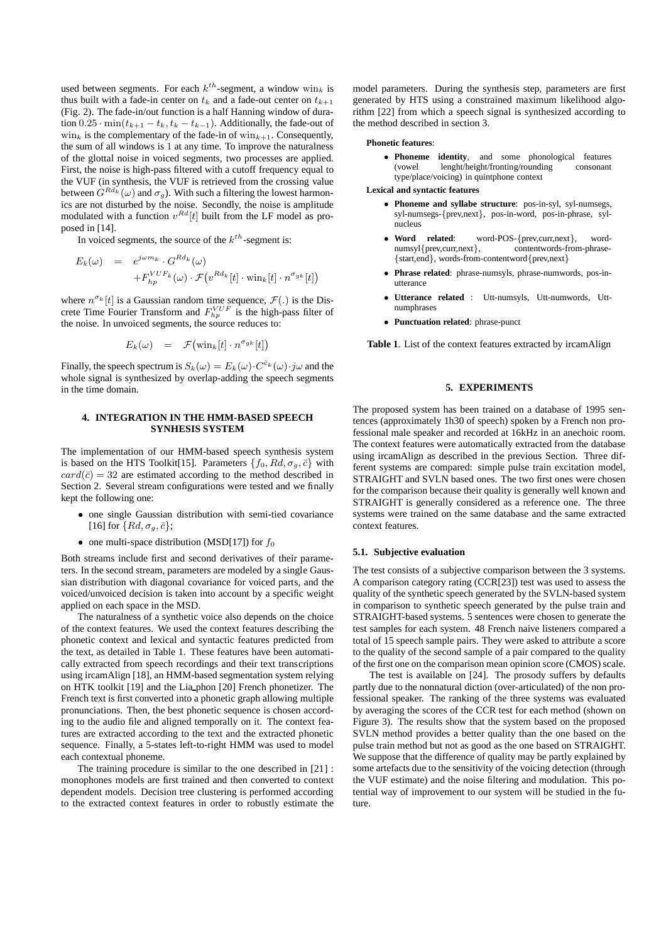used between segments. For each  $k^{th}$ -segment, a window win $_k$  is thus built with a fade-in center on  $t_k$  and a fade-out center on  $t_{k+1}$ (Fig. 2). The fade-in/out function is a half Hanning window of duration  $0.25 \cdot \min(t_{k+1} - t_k, t_k - t_{k-1})$ . Additionally, the fade-out of  $\sin_k$  is the complementary of the fade-in of  $\sin_{k+1}$ . Consequently, the sum of all windows is 1 at any time. To improve the naturalness of the glottal noise in voiced segments, two processes are applied. First, the noise is high-pass filtered with a cutoff frequency equal to the VUF (in synthesis, the VUF is retrieved from the crossing value between  $G^{Rd_k}(\omega)$  and  $\sigma_g$ ). With such a filtering the lowest harmonics are not disturbed by the noise. Secondly, the noise is amplitude modulated with a function  $v^{Rd}[t]$  built from the LF model as proposed in [14].

In voiced segments, the source of the  $k^{th}$ -segment is:

$$
E_k(\omega) = e^{j\omega m_k} \cdot G^{Rd_k}(\omega)
$$
  
+
$$
F_{hp}^{VUF_k}(\omega) \cdot \mathcal{F}(v^{Rd_k}[t] \cdot \min_k[t] \cdot n^{\sigma_{gk}}[t])
$$

where  $n^{\sigma_k}[t]$  is a Gaussian random time sequence,  $\mathcal{F}(\cdot)$  is the Discrete Time Fourier Transform and  $F_{hp}^{VUF}$  is the high-pass filter of the noise. In unvoiced segments, the source reduces to:

$$
E_k(\omega) = \mathcal{F}\big(\text{win}_k[t] \cdot n^{\sigma_{gk}}[t]\big)
$$

Finally, the speech spectrum is  $S_k(\omega) = E_k(\omega) \cdot C^{\bar{c}_k}(\omega) \cdot j\omega$  and the whole signal is synthesized by overlap-adding the speech segments in the time domain.

### **4. INTEGRATION IN THE HMM-BASED SPEECH SYNHESIS SYSTEM**

The implementation of our HMM-based speech synthesis system is based on the HTS Toolkit<sup>[15]</sup>. Parameters  $\{f_0, Rd, \sigma_q, \bar{c}\}\$  with  $card(\bar{c}) = 32$  are estimated according to the method described in Section 2. Several stream configurations were tested and we finally kept the following one:

- one single Gaussian distribution with semi-tied covariance [16] for  $\{Rd, \sigma_a, \bar{c}\};$
- one multi-space distribution (MSD[17]) for  $f_0$

Both streams include first and second derivatives of their parameters. In the second stream, parameters are modeled by a single Gaussian distribution with diagonal covariance for voiced parts, and the voiced/unvoiced decision is taken into account by a specific weight applied on each space in the MSD.

The naturalness of a synthetic voice also depends on the choice of the context features. We used the context features describing the phonetic context and lexical and syntactic features predicted from the text, as detailed in Table 1. These features have been automatically extracted from speech recordings and their text transcriptions using ircamAlign [18], an HMM-based segmentation system relying on HTK toolkit [19] and the Lia phon [20] French phonetizer. The French text is first converted into a phonetic graph allowing multiple pronunciations. Then, the best phonetic sequence is chosen according to the audio file and aligned temporally on it. The context features are extracted according to the text and the extracted phonetic sequence. Finally, a 5-states left-to-right HMM was used to model each contextual phoneme.

The training procedure is similar to the one described in [21] : monophones models are first trained and then converted to context dependent models. Decision tree clustering is performed according to the extracted context features in order to robustly estimate the

model parameters. During the synthesis step, parameters are first generated by HTS using a constrained maximum likelihood algorithm [22] from which a speech signal is synthesized according to the method described in section 3.

#### **Phonetic features**:

• **Phoneme identity**, and some phonological features<br>(vowel length/height/fronting/rounding consonant lenght/height/fronting/rounding type/place/voicing) in quintphone context

#### **Lexical and syntactic features**

- **Phoneme and syllabe structure**: pos-in-syl, syl-numsegs, syl-numsegs-{prev,next}, pos-in-word, pos-in-phrase, sylnucleus
- **Word related**: word-POS-{prev,curr,next}, wordnumsyl{prev,curr,next}, {start,end}, words-from-contentword{prev,next}
- **Phrase related**: phrase-numsyls, phrase-numwords, pos-inutterance
- **Utterance related** : Utt-numsyls, Utt-numwords, Uttnumphrases
- **Punctuation related**: phrase-punct

**Table 1**. List of the context features extracted by ircamAlign

# **5. EXPERIMENTS**

The proposed system has been trained on a database of 1995 sentences (approximately 1h30 of speech) spoken by a French non professional male speaker and recorded at 16kHz in an anechoic room. The context features were automatically extracted from the database using ircamAlign as described in the previous Section. Three different systems are compared: simple pulse train excitation model, STRAIGHT and SVLN based ones. The two first ones were chosen for the comparison because their quality is generally well known and STRAIGHT is generally considered as a reference one. The three systems were trained on the same database and the same extracted context features.

#### **5.1. Subjective evaluation**

The test consists of a subjective comparison between the 3 systems. A comparison category rating (CCR[23]) test was used to assess the quality of the synthetic speech generated by the SVLN-based system in comparison to synthetic speech generated by the pulse train and STRAIGHT-based systems. 5 sentences were chosen to generate the test samples for each system. 48 French naive listeners compared a total of 15 speech sample pairs. They were asked to attribute a score to the quality of the second sample of a pair compared to the quality of the first one on the comparison mean opinion score (CMOS) scale.

The test is available on [24]. The prosody suffers by defaults partly due to the nonnatural diction (over-articulated) of the non professional speaker. The ranking of the three systems was evaluated by averaging the scores of the CCR test for each method (shown on Figure 3). The results show that the system based on the proposed SVLN method provides a better quality than the one based on the pulse train method but not as good as the one based on STRAIGHT. We suppose that the difference of quality may be partly explained by some artefacts due to the sensitivity of the voicing detection (through the VUF estimate) and the noise filtering and modulation. This potential way of improvement to our system will be studied in the future.